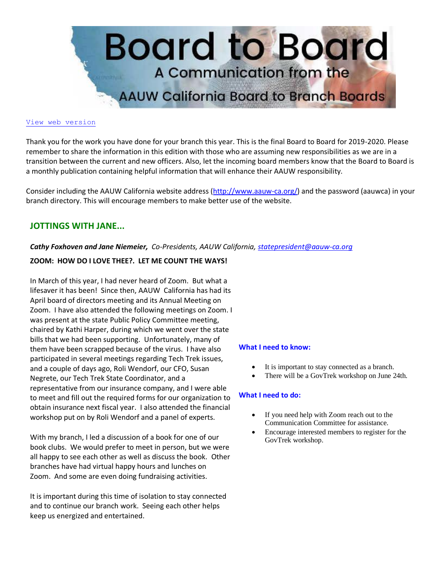

#### [View web version](https://bor.aauw-ca.org/sendy/w/fUnj5SnAD6MYwwhA0L01zg)

Thank you for the work you have done for your branch this year. This is the final Board to Board for 2019-2020. Please remember to share the information in this edition with those who are assuming new responsibilities as we are in a transition between the current and new officers. Also, let the incoming board members know that the Board to Board is a monthly publication containing helpful information that will enhance their AAUW responsibility.

Consider including the AAUW California website address [\(http://www.aauw-ca.org/\)](http://www.aauw-ca.org/) and the password (aauwca) in your branch directory. This will encourage members to make better use of the website.

## **JOTTINGS WITH JANE...**

*Cathy Foxhoven and Jane Niemeier, Co-Presidents, AAUW California[, statepresident@aauw-ca.org](mailto:statepresident@aauw-ca.org)*

#### **ZOOM: HOW DO I LOVE THEE?. LET ME COUNT THE WAYS!**

In March of this year, I had never heard of Zoom. But what a lifesaver it has been! Since then, AAUW California has had its April board of directors meeting and its Annual Meeting on Zoom. I have also attended the following meetings on Zoom. I was present at the state Public Policy Committee meeting, chaired by Kathi Harper, during which we went over the state bills that we had been supporting. Unfortunately, many of them have been scrapped because of the virus. I have also participated in several meetings regarding Tech Trek issues, and a couple of days ago, Roli Wendorf, our CFO, Susan Negrete, our Tech Trek State Coordinator, and a representative from our insurance company, and I were able to meet and fill out the required forms for our organization to obtain insurance next fiscal year. I also attended the financial workshop put on by Roli Wendorf and a panel of experts.

With my branch, I led a discussion of a book for one of our book clubs. We would prefer to meet in person, but we were all happy to see each other as well as discuss the book. Other branches have had virtual happy hours and lunches on Zoom. And some are even doing fundraising activities.

It is important during this time of isolation to stay connected and to continue our branch work. Seeing each other helps keep us energized and entertained.

#### **What I need to know:**

- It is important to stay connected as a branch.
- There will be a GovTrek workshop on June 24th.

#### **What I need to do:**

- If you need help with Zoom reach out to the Communication Committee for assistance.
- Encourage interested members to register for the GovTrek workshop.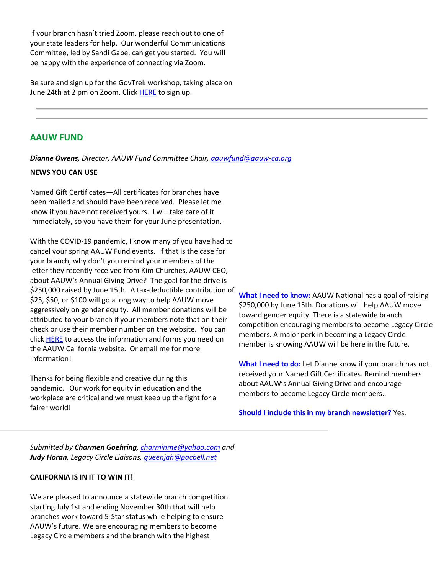If your branch hasn't tried Zoom, please reach out to one of your state leaders for help. Our wonderful Communications Committee, led by Sandi Gabe, can get you started. You will be happy with the experience of connecting via Zoom.

Be sure and sign up for the GovTrek workshop, taking place on June 24th at 2 pm on Zoom. Click [HERE](https://www.aauw-ca.org/govtrek-how-to-rock-the-next-generation/) to sign up.

# **AAUW FUND**

*Dianne Owens, Director, AAUW Fund Committee Chair, [aauwfund@aauw-ca.org](mailto:aauwfund@aauw-ca.org)*

## **NEWS YOU CAN USE**

Named Gift Certificates—All certificates for branches have been mailed and should have been received. Please let me know if you have not received yours. I will take care of it immediately, so you have them for your June presentation.

With the COVID-19 pandemic, I know many of you have had to cancel your spring AAUW Fund events. If that is the case for your branch, why don't you remind your members of the letter they recently received from Kim Churches, AAUW CEO, about AAUW's Annual Giving Drive? The goal for the drive is \$250,000 raised by June 15th. A tax-deductible contribution of \$25, \$50, or \$100 will go a long way to help AAUW move aggressively on gender equity. All member donations will be attributed to your branch if your members note that on their check or use their member number on the website. You can click [HERE](https://www.aauw-ca.org/category/aauw-fund/) to access the information and forms you need on the AAUW California website. Or email me for more information!

Thanks for being flexible and creative during this pandemic. Our work for equity in education and the workplace are critical and we must keep up the fight for a fairer world!

**What I need to know:** AAUW National has a goal of raising \$250,000 by June 15th. Donations will help AAUW move toward gender equity. There is a statewide branch competition encouraging members to become Legacy Circle members. A major perk in becoming a Legacy Circle member is knowing AAUW will be here in the future.

**What I need to do:** Let Dianne know if your branch has not received your Named Gift Certificates. Remind members about AAUW's Annual Giving Drive and encourage members to become Legacy Circle members..

**Should I include this in my branch newsletter?** Yes.

*Submitted by Charmen Goehring, [charminme@yahoo.com](mailto:charminme@yahoo.com) and Judy Horan, Legacy Circle Liaisons, [queenjah@pacbell.net](mailto:queenjah@pacbell.net)*

## **CALIFORNIA IS IN IT TO WIN IT!**

We are pleased to announce a statewide branch competition starting July 1st and ending November 30th that will help branches work toward 5-Star status while helping to ensure AAUW's future. We are encouraging members to become Legacy Circle members and the branch with the highest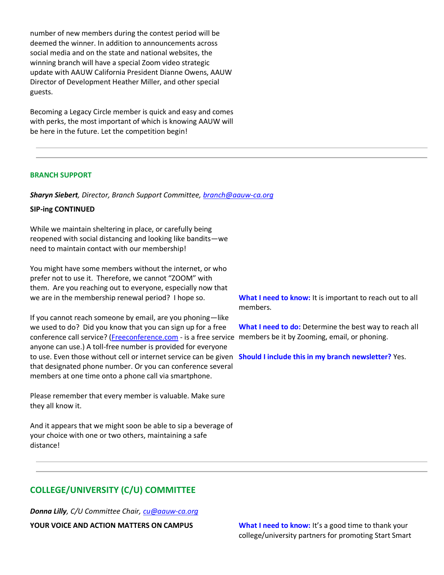number of new members during the contest period will be deemed the winner. In addition to announcements across social media and on the state and national websites, the winning branch will have a special Zoom video strategic update with AAUW California President Dianne Owens, AAUW Director of Development Heather Miller, and other special guests.

Becoming a Legacy Circle member is quick and easy and comes with perks, the most important of which is knowing AAUW will be here in the future. Let the competition begin!

#### **BRANCH SUPPORT**

*Sharyn Siebert, Director, Branch Support Committee, [branch@aauw-ca.org](mailto:branch@aauw-ca.org)*

#### **SIP-ing CONTINUED**

While we maintain sheltering in place, or carefully being reopened with social distancing and looking like bandits—we need to maintain contact with our membership!

You might have some members without the internet, or who prefer not to use it. Therefore, we cannot "ZOOM" with them. Are you reaching out to everyone, especially now that we are in the membership renewal period? I hope so.

If you cannot reach someone by email, are you phoning—like we used to do? Did you know that you can sign up for a free conference call service? [\(Freeconference.com](http://freeconference.com/) - is a free service members be it by Zooming, email, or phoning. anyone can use.) A toll-free number is provided for everyone to use. Even those without cell or internet service can be given **Should I include this in my branch newsletter?** Yes. that designated phone number. Or you can conference several members at one time onto a phone call via smartphone.

Please remember that every member is valuable. Make sure they all know it.

And it appears that we might soon be able to sip a beverage of your choice with one or two others, maintaining a safe distance!

**What I need to know:** It is important to reach out to all members.

**What I need to do:** Determine the best way to reach all

# **COLLEGE/UNIVERSITY (C/U) COMMITTEE**

*Donna Lilly, C/U Committee Chair, [cu@aauw-ca.org](mailto:cu@aauw-ca.org)*

**YOUR VOICE AND ACTION MATTERS ON CAMPUS What I need to know:** It's a good time to thank your college/university partners for promoting Start Smart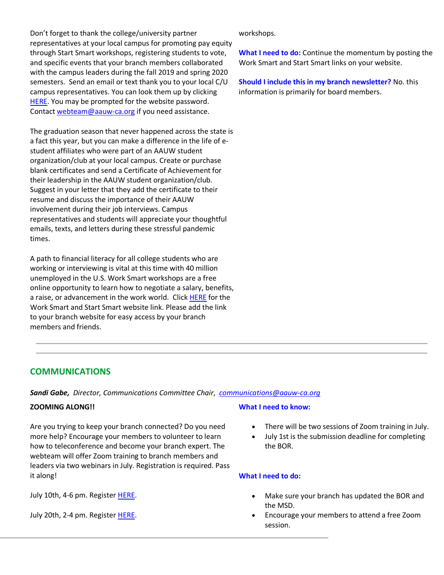Don't forget to thank the college/university partner representatives at your local campus for promoting pay equity through Start Smart workshops, registering students to vote, and specific events that your branch members collaborated with the campus leaders during the fall 2019 and spring 2020 semesters. Send an email or text thank you to your local C/U campus representatives. You can look them up by clicking [HERE.](http://www.aauw-ca.org/documents/2019/11/aauw-california-college-university-data-sheet.pdf/) You may be prompted for the website password. Contac[t webteam@aauw-ca.org](mailto:webteam@aauw-ca.org) if you need assistance.

The graduation season that never happened across the state is a fact this year, but you can make a difference in the life of estudent affiliates who were part of an AAUW student organization/club at your local campus. Create or purchase blank certificates and send a Certificate of Achievement for their leadership in the AAUW student organization/club. Suggest in your letter that they add the certificate to their resume and discuss the importance of their AAUW involvement during their job interviews. Campus representatives and students will appreciate your thoughtful emails, texts, and letters during these stressful pandemic times.

A path to financial literacy for all college students who are working or interviewing is vital at this time with 40 million unemployed in the U.S. Work Smart workshops are a free online opportunity to learn how to negotiate a salary, benefits, a raise, or advancement in the work world. Clic[k HERE](https://www.aauw.org/resources/programs/salary/) for the Work Smart and Start Smart website link. Please add the link to your branch website for easy access by your branch members and friends.

workshops.

**What I need to do:** Continue the momentum by posting the Work Smart and Start Smart links on your website.

**Should I include this in my branch newsletter?** No. this information is primarily for board members.

# **COMMUNICATIONS**

*Sandi Gabe, Director, Communications Committee Chair*, *[communications@aauw-ca.org](mailto:Communications@aauw-ca.org)*

## **ZOOMING ALONG!!**

Are you trying to keep your branch connected? Do you need more help? Encourage your members to volunteer to learn how to teleconference and become your branch expert. The webteam will offer Zoom training to branch members and leaders via two webinars in July. Registration is required. Pass it along!

July 10th, 4-6 pm. Registe[r HERE.](https://us02web.zoom.us/webinar/register/WN_QE0l4rpURye93q1Se6iLEQ)

July 20th, 2-4 pm. Registe[r HERE.](https://us02web.zoom.us/webinar/register/WN_mpnV2Go-QSekq4i02FtHhQ)

#### **What I need to know:**

- There will be two sessions of Zoom training in July.
- July 1st is the submission deadline for completing the BOR.

## **What I need to do:**

- Make sure your branch has updated the BOR and the MSD.
- Encourage your members to attend a free Zoom session.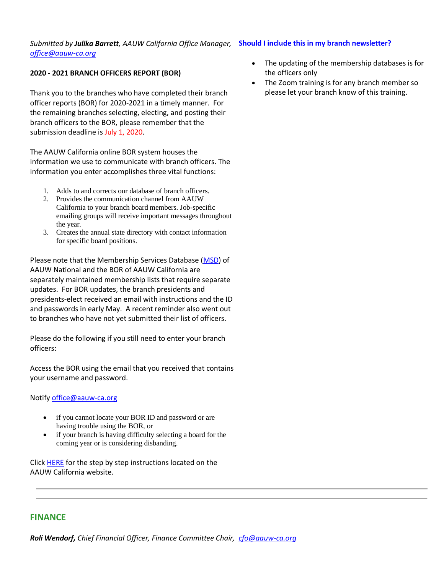#### *Submitted by Julika Barrett, AAUW California Office Manager, [office@aauw-ca.org](mailto:office@aauw-ca.org)* **Should I include this in my branch newsletter?**

## **2020 - 2021 BRANCH OFFICERS REPORT (BOR)**

Thank you to the branches who have completed their branch officer reports (BOR) for 2020-2021 in a timely manner. For the remaining branches selecting, electing, and posting their branch officers to the BOR, please remember that the submission deadline is July 1, 2020.

The AAUW California online BOR system houses the information we use to communicate with branch officers. The information you enter accomplishes three vital functions:

- 1. Adds to and corrects our database of branch officers.
- 2. Provides the communication channel from AAUW California to your branch board members. Job-specific emailing groups will receive important messages throughout the year.
- 3. Creates the annual state directory with contact information for specific board positions.

Please note that the Membership Services Database [\(MSD\)](https://svc.aauw.org/RECore/inc/login_wp.asp?_wpnonce=6010122fda&access_str=1492ac1e8673e0f21f5d40b1122c6e95) of AAUW National and the BOR of AAUW California are separately maintained membership lists that require separate updates. For BOR updates, the branch presidents and presidents-elect received an email with instructions and the ID and passwords in early May. A recent reminder also went out to branches who have not yet submitted their list of officers.

Please do the following if you still need to enter your branch officers:

Access the BOR using the email that you received that contains your username and password.

Notif[y office@aauw-ca.org](mailto:office@aauw-ca.org)

- if you cannot locate your BOR ID and password or are having trouble using the BOR, or
- if your branch is having difficulty selecting a board for the coming year or is considering disbanding.

Click **HERE** for the step by step instructions located on the AAUW California website.

- The updating of the membership databases is for the officers only
- The Zoom training is for any branch member so please let your branch know of this training.

## **FINANCE**

*Roli Wendorf, Chief Financial Officer, Finance Committee Chair, [cfo@aauw-ca.org](mailto:cfo@aauw-ca.org)*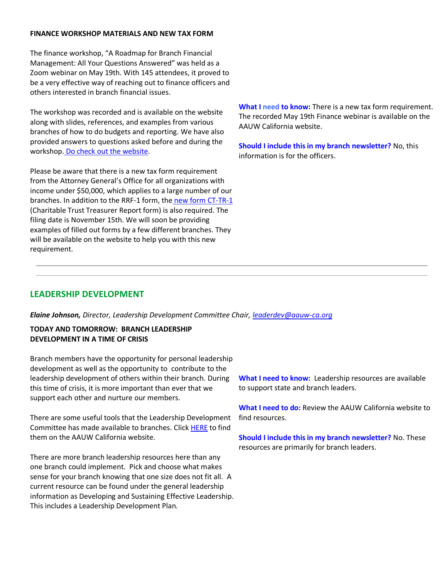#### **FINANCE WORKSHOP MATERIALS AND NEW TAX FORM**

The finance workshop, "A Roadmap for Branch Financial Management: All Your Questions Answered" was held as a Zoom webinar on May 19th. With 145 attendees, it proved to be a very effective way of reaching out to finance officers and others interested in branch financial issues.

The workshop was recorded and is available on the website along with slides, references, and examples from various branches of how to do budgets and reporting. We have also provided answers to questions asked before and during the workshop. [Do check out the website.](https://www.aauw-ca.org/a-roadmap-for-branch-financial-management-all-your-questions-answered/)

Please be aware that there is a new tax form requirement from the Attorney General's Office for all organizations with income under \$50,000, which applies to a large number of our branches. In addition to the RRF-1 form, the [new form CT-TR-1](https://oag.ca.gov/sites/all/files/agweb/pdfs/charities/charitable/ct-tr1-form.pdf) (Charitable Trust Treasurer Report form) is also required. The filing date is November 15th. We will soon be providing examples of filled out forms by a few different branches. They will be available on the website to help you with this new requirement.

**What I need to know:** There is a new tax form requirement. The recorded May 19th Finance webinar is available on the AAUW California website.

**Should I include this in my branch newsletter?** No, this information is for the officers.

## **LEADERSHIP DEVELOPMENT**

*Elaine Johnson, Director, Leadership Development Committee Chair, [leaderdev@aauw-ca.org](mailto:leaderdev@aauw-ca.org)*

**TODAY AND TOMORROW: BRANCH LEADERSHIP DEVELOPMENT IN A TIME OF CRISIS**

Branch members have the opportunity for personal leadership development as well as the opportunity to contribute to the leadership development of others within their branch. During this time of crisis, it is more important than ever that we support each other and nurture our members.

There are some useful tools that the Leadership Development Committee has made available to branches. Click [HERE](https://www.aauw-ca.org/leadership-resources/) to find them on the AAUW California website.

There are more branch leadership resources here than any one branch could implement. Pick and choose what makes sense for your branch knowing that one size does not fit all. A current resource can be found under the general leadership information as Developing and Sustaining Effective Leadership. This includes a Leadership Development Plan.

**What I need to know:** Leadership resources are available to support state and branch leaders.

**What I need to do:** Review the AAUW California website to find resources.

**Should I include this in my branch newsletter?** No. These resources are primarily for branch leaders.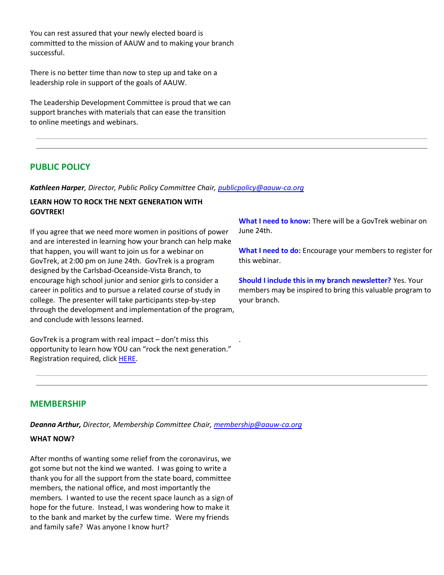You can rest assured that your newly elected board is committed to the mission of AAUW and to making your branch successful.

There is no better time than now to step up and take on a leadership role in support of the goals of AAUW.

The Leadership Development Committee is proud that we can support branches with materials that can ease the transition to online meetings and webinars.

# **PUBLIC POLICY**

#### *Kathleen Harper, Director, Public Policy Committee Chair[, publicpolicy@aauw-ca.org](mailto:PublicPolicy@aauw-ca.org)*

## **LEARN HOW TO ROCK THE NEXT GENERATION WITH GOVTREK!**

If you agree that we need more women in positions of power and are interested in learning how your branch can help make that happen, you will want to join us for a webinar on GovTrek, at 2:00 pm on June 24th. GovTrek is a program designed by the Carlsbad-Oceanside-Vista Branch, to encourage high school junior and senior girls to consider a career in politics and to pursue a related course of study in college. The presenter will take participants step-by-step through the development and implementation of the program, and conclude with lessons learned.

GovTrek is a program with real impact – don't miss this opportunity to learn how YOU can "rock the next generation." Registration required, clic[k HERE.](https://www.aauw-ca.org/govtrek-how-to-rock-the-next-generation/)

**What I need to know:** There will be a GovTrek webinar on June 24th.

**What I need to do:** Encourage your members to register for this webinar.

**Should I include this in my branch newsletter?** Yes. Your members may be inspired to bring this valuable program to your branch.

## **MEMBERSHIP**

*Deanna Arthur, Director, Membership Committee Chair, [membership@aauw-ca.org](mailto:membership@aauw-ca.org)*

.

#### **WHAT NOW?**

After months of wanting some relief from the coronavirus, we got some but not the kind we wanted. I was going to write a thank you for all the support from the state board, committee members, the national office, and most importantly the members. I wanted to use the recent space launch as a sign of hope for the future. Instead, I was wondering how to make it to the bank and market by the curfew time. Were my friends and family safe? Was anyone I know hurt?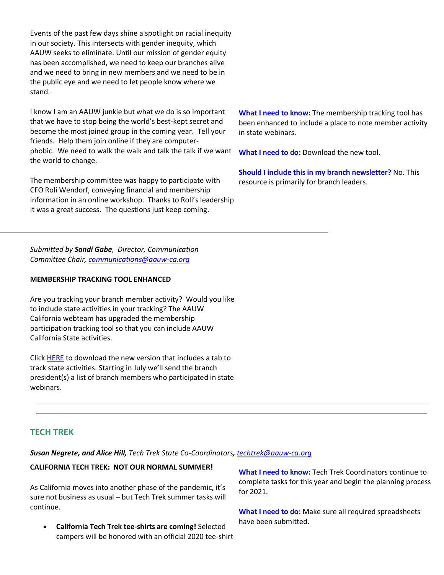Events of the past few days shine a spotlight on racial inequity in our society. This intersects with gender inequity, which AAUW seeks to eliminate. Until our mission of gender equity has been accomplished, we need to keep our branches alive and we need to bring in new members and we need to be in the public eye and we need to let people know where we stand.

I know I am an AAUW junkie but what we do is so important that we have to stop being the world's best-kept secret and become the most joined group in the coming year. Tell your friends. Help them join online if they are computerphobic. We need to walk the walk and talk the talk if we want the world to change.

The membership committee was happy to participate with CFO Roli Wendorf, conveying financial and membership information in an online workshop. Thanks to Roli's leadership it was a great success. The questions just keep coming.

*Submitted by Sandi Gabe, Director, Communication Committee Chair, [communications@aauw-ca.org](mailto:Communications@aauw-ca.org)*

#### **MEMBERSHIP TRACKING TOOL ENHANCED**

Are you tracking your branch member activity? Would you like to include state activities in your tracking? The AAUW California webteam has upgraded the membership participation tracking tool so that you can include AAUW California State activities.

Clic[k HERE](https://www.aauw-ca.org/its-here-an-easy-way-to-measure-how-active-your-members-are/) to download the new version that includes a tab to track state activities. Starting in July we'll send the branch president(s) a list of branch members who participated in state webinars.

# **TECH TREK**

*Susan Negrete, and Alice Hill, Tech Trek State Co-Coordinators, [techtrek@aauw-ca.org](mailto:techtrek@aauw-ca.org)*

## **CALIFORNIA TECH TREK: NOT OUR NORMAL SUMMER!**

As California moves into another phase of the pandemic, it's sure not business as usual – but Tech Trek summer tasks will continue.

• **California Tech Trek tee-shirts are coming!** Selected campers will be honored with an official 2020 tee-shirt

**What I need to know:** The membership tracking tool has been enhanced to include a place to note member activity in state webinars.

**What I need to do:** Download the new tool.

**Should I include this in my branch newsletter?** No. This resource is primarily for branch leaders.

**What I need to know:** Tech Trek Coordinators continue to complete tasks for this year and begin the planning process for 2021.

**What I need to do:** Make sure all required spreadsheets have been submitted.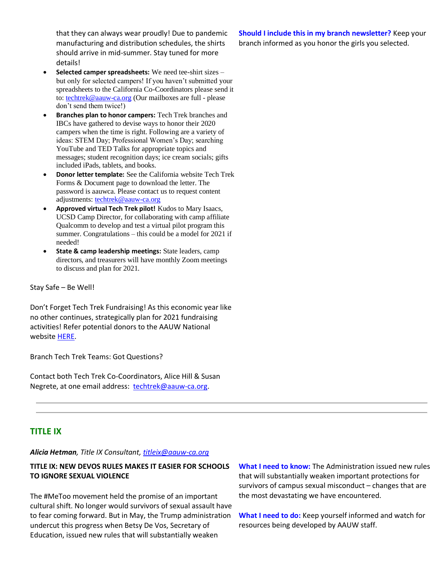that they can always wear proudly! Due to pandemic manufacturing and distribution schedules, the shirts should arrive in mid-summer. Stay tuned for more details!

- **Selected camper spreadsheets:** We need tee-shirt sizes but only for selected campers! If you haven't submitted your spreadsheets to the California Co-Coordinators please send it to[: techtrek@aauw-ca.org](mailto:techtrek@aauw-ca.org) (Our mailboxes are full - please don't send them twice!)
- **Branches plan to honor campers:** Tech Trek branches and IBCs have gathered to devise ways to honor their 2020 campers when the time is right. Following are a variety of ideas: STEM Day; Professional Women's Day; searching YouTube and TED Talks for appropriate topics and messages; student recognition days; ice cream socials; gifts included iPads, tablets, and books.
- **Donor letter template:** See the California website Tech Trek Forms & Document page to download the letter. The password is aauwca. Please contact us to request content adjustments[: techtrek@aauw-ca.org](mailto:techtrek@aauw-ca.org)
- **Approved virtual Tech Trek pilot!** Kudos to Mary Isaacs, UCSD Camp Director, for collaborating with camp affiliate Qualcomm to develop and test a virtual pilot program this summer. Congratulations – this could be a model for 2021 if needed!
- **State & camp leadership meetings:** State leaders, camp directors, and treasurers will have monthly Zoom meetings to discuss and plan for 2021.

Stay Safe – Be Well!

Don't Forget Tech Trek Fundraising! As this economic year like no other continues, strategically plan for 2021 fundraising activities! Refer potential donors to the AAUW National website [HERE.](https://ww2.aauw.org/donate-gift-new/?treatment=TECHTREK)

Branch Tech Trek Teams: Got Questions?

Contact both Tech Trek Co-Coordinators, Alice Hill & Susan Negrete, at one email address: [techtrek@aauw-ca.org.](mailto:techtrek@aauw-ca.org)

# **TITLE IX**

## *Alicia Hetman, Title IX Consultant, [titleix@aauw-ca.org](mailto:titleix@aauw-ca.org)*

## **TITLE IX: NEW DEVOS RULES MAKES IT EASIER FOR SCHOOLS TO IGNORE SEXUAL VIOLENCE**

The #MeToo movement held the promise of an important cultural shift. No longer would survivors of sexual assault have to fear coming forward. But in May, the Trump administration undercut this progress when Betsy De Vos, Secretary of Education, issued new rules that will substantially weaken

**What I need to know:** The Administration issued new rules that will substantially weaken important protections for survivors of campus sexual misconduct – changes that are the most devastating we have encountered.

**What I need to do:** Keep yourself informed and watch for resources being developed by AAUW staff.

**Should I include this in my branch newsletter?** Keep your branch informed as you honor the girls you selected.